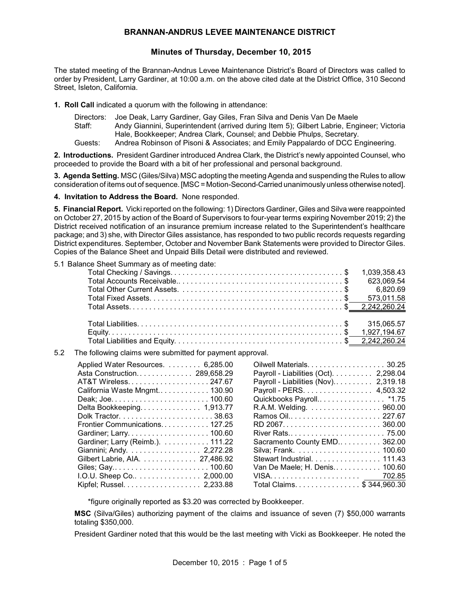# **BRANNAN-ANDRUS LEVEE MAINTENANCE DISTRICT**

# **Minutes of Thursday, December 10, 2015**

The stated meeting of the Brannan-Andrus Levee Maintenance District's Board of Directors was called to order by President, Larry Gardiner, at 10:00 a.m. on the above cited date at the District Office, 310 Second Street, Isleton, California.

**1. Roll Call** indicated a quorum with the following in attendance:

Directors: Joe Deak, Larry Gardiner, Gay Giles, Fran Silva and Denis Van De Maele Staff: Andy Giannini, Superintendent (arrived during Item 5); Gilbert Labrie, Engineer; Victoria Hale, Bookkeeper; Andrea Clark, Counsel; and Debbie Phulps, Secretary. Guests: Andrea Robinson of Pisoni & Associates; and Emily Pappalardo of DCC Engineering.

**2. Introductions.** President Gardiner introduced Andrea Clark, the District's newly appointed Counsel, who proceeded to provide the Board with a bit of her professional and personal background.

**3. Agenda Setting.** MSC (Giles/Silva) MSC adopting the meeting Agenda and suspending the Rules to allow consideration of items out of sequence. [MSC = Motion-Second-Carried unanimouslyunless otherwise noted].

**4. Invitation to Address the Board.** None responded.

**5. Financial Report.** Vicki reported on the following: 1) Directors Gardiner, Giles and Silva were reappointed on October 27, 2015 by action of the Board of Supervisors to four-year terms expiring November 2019; 2) the District received notification of an insurance premium increase related to the Superintendent's healthcare package; and 3) she, with Director Giles assistance, has responded to two public records requests regarding District expenditures. September, October and November Bank Statements were provided to Director Giles. Copies of the Balance Sheet and Unpaid Bills Detail were distributed and reviewed.

5.1 Balance Sheet Summary as of meeting date:

|     |                                                           | 1,039,358.43                          |
|-----|-----------------------------------------------------------|---------------------------------------|
|     |                                                           | 623,069.54                            |
|     |                                                           | 6,820.69                              |
|     |                                                           | 573,011.58                            |
|     |                                                           | 2,242,260.24                          |
|     |                                                           |                                       |
|     |                                                           | 315,065.57                            |
|     |                                                           | 1,927,194.67                          |
|     |                                                           |                                       |
| 5.2 | The following claims were submitted for payment approval. |                                       |
|     | Applied Water Resources. 6,285.00                         | Oilwell Materials. 30.25              |
|     | Asta Construction 289,658.29                              | Payroll - Liabilities (Oct). 2,298.04 |
|     | AT&T Wireless247.67                                       | Payroll - Liabilities (Nov) 2,319.18  |
|     | California Waste Mngmt 130.90                             | Payroll - PERS. 4,503.32              |
|     | Deak; Joe 100.60                                          | Quickbooks Payroll*1.75               |
|     | Delta Bookkeeping 1,913.77                                | R.A.M. Welding. 960.00                |
|     |                                                           | Ramos Oil 227.67                      |
|     | Frontier Communications 127.25                            |                                       |
|     |                                                           |                                       |
|     | Gardiner; Larry (Reimb.). 111.22                          | Sacramento County EMD 362.00          |
|     | Giannini; Andy. 2,272.28                                  |                                       |
|     | Gilbert Labrie, AIA. 27,486.92                            | Stewart Industrial. 111.43            |
|     | Giles; Gay 100.60                                         | Van De Maele; H. Denis 100.60         |
|     | I.O.U. Sheep Co 2,000.00                                  |                                       |
|     | Kipfel; Russel. 2,233.88                                  | Total Claims. \$ 344,960.30           |
|     |                                                           |                                       |

\*figure originally reported as \$3.20 was corrected by Bookkeeper.

**MSC** (Silva/Giles) authorizing payment of the claims and issuance of seven (7) \$50,000 warrants totaling \$350,000.

President Gardiner noted that this would be the last meeting with Vicki as Bookkeeper. He noted the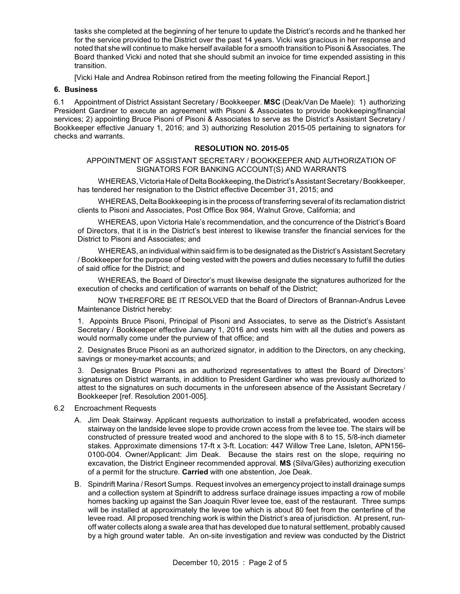tasks she completed at the beginning of her tenure to update the District's records and he thanked her for the service provided to the District over the past 14 years. Vicki was gracious in her response and noted that she will continue to make herself available for a smooth transition to Pisoni & Associates. The Board thanked Vicki and noted that she should submit an invoice for time expended assisting in this transition.

[Vicki Hale and Andrea Robinson retired from the meeting following the Financial Report.]

### **6. Business**

6.1 Appointment of District Assistant Secretary / Bookkeeper. **MSC** (Deak/Van De Maele): 1) authorizing President Gardiner to execute an agreement with Pisoni & Associates to provide bookkeeping/financial services; 2) appointing Bruce Pisoni of Pisoni & Associates to serve as the District's Assistant Secretary / Bookkeeper effective January 1, 2016; and 3) authorizing Resolution 2015-05 pertaining to signators for checks and warrants.

## **RESOLUTION NO. 2015-05**

APPOINTMENT OF ASSISTANT SECRETARY / BOOKKEEPER AND AUTHORIZATION OF SIGNATORS FOR BANKING ACCOUNT(S) AND WARRANTS

WHEREAS, Victoria Hale of Delta Bookkeeping, the District's Assistant Secretary / Bookkeeper, has tendered her resignation to the District effective December 31, 2015; and

WHEREAS, Delta Bookkeeping is in the process of transferring several of its reclamation district clients to Pisoni and Associates, Post Office Box 984, Walnut Grove, California; and

WHEREAS, upon Victoria Hale's recommendation, and the concurrence of the District's Board of Directors, that it is in the District's best interest to likewise transfer the financial services for the District to Pisoni and Associates; and

WHEREAS, an individual within said firm is to be designated as the District's Assistant Secretary / Bookkeeper for the purpose of being vested with the powers and duties necessary to fulfill the duties of said office for the District; and

WHEREAS, the Board of Director's must likewise designate the signatures authorized for the execution of checks and certification of warrants on behalf of the District;

NOW THEREFORE BE IT RESOLVED that the Board of Directors of Brannan-Andrus Levee Maintenance District hereby:

1. Appoints Bruce Pisoni, Principal of Pisoni and Associates, to serve as the District's Assistant Secretary / Bookkeeper effective January 1, 2016 and vests him with all the duties and powers as would normally come under the purview of that office; and

2. Designates Bruce Pisoni as an authorized signator, in addition to the Directors, on any checking, savings or money-market accounts; and

3. Designates Bruce Pisoni as an authorized representatives to attest the Board of Directors' signatures on District warrants, in addition to President Gardiner who was previously authorized to attest to the signatures on such documents in the unforeseen absence of the Assistant Secretary / Bookkeeper [ref. Resolution 2001-005].

- 6.2 Encroachment Requests
	- A. Jim Deak Stairway. Applicant requests authorization to install a prefabricated, wooden access stairway on the landside levee slope to provide crown access from the levee toe. The stairs will be constructed of pressure treated wood and anchored to the slope with 8 to 15, 5/8-inch diameter stakes. Approximate dimensions 17-ft x 3-ft. Location: 447 Willow Tree Lane, Isleton, APN156- 0100-004. Owner/Applicant: Jim Deak. Because the stairs rest on the slope, requiring no excavation, the District Engineer recommended approval. **MS** (Silva/Giles) authorizing execution of a permit for the structure. **Carried** with one abstention, Joe Deak.
	- B. Spindrift Marina / Resort Sumps. Request involves an emergency project to install drainage sumps and a collection system at Spindrift to address surface drainage issues impacting a row of mobile homes backing up against the San Joaquin River levee toe, east of the restaurant. Three sumps will be installed at approximately the levee toe which is about 80 feet from the centerline of the levee road. All proposed trenching work is within the District's area of jurisdiction. At present, runoff water collects along a swale area that has developed due to natural settlement, probably caused by a high ground water table. An on-site investigation and review was conducted by the District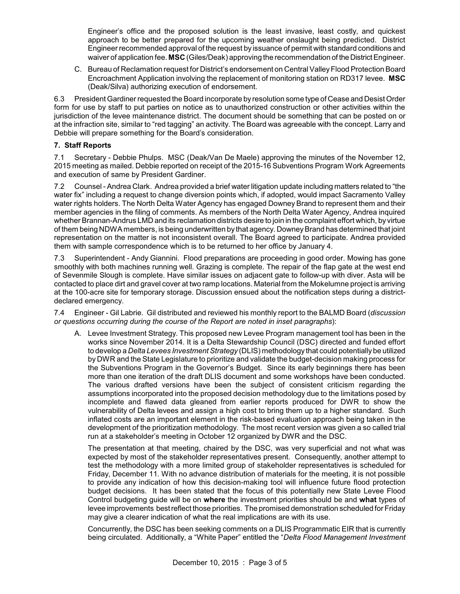Engineer's office and the proposed solution is the least invasive, least costly, and quickest approach to be better prepared for the upcoming weather onslaught being predicted. District Engineer recommended approval of the request by issuance of permit with standard conditions and waiver of application fee. **MSC** (Giles/Deak) approving the recommendation of the District Engineer.

C. Bureau of Reclamation request for District's endorsement on Central Valley Flood Protection Board Encroachment Application involving the replacement of monitoring station on RD317 levee. **MSC** (Deak/Silva) authorizing execution of endorsement.

6.3 President Gardiner requested the Board incorporate byresolution some type of Cease and Desist Order form for use by staff to put parties on notice as to unauthorized construction or other activities within the jurisdiction of the levee maintenance district. The document should be something that can be posted on or at the infraction site, similar to "red tagging" an activity. The Board was agreeable with the concept. Larry and Debbie will prepare something for the Board's consideration.

## **7. Staff Reports**

7.1 Secretary - Debbie Phulps. MSC (Deak/Van De Maele) approving the minutes of the November 12, 2015 meeting as mailed. Debbie reported on receipt of the 2015-16 Subventions Program Work Agreements and execution of same by President Gardiner.

7.2 Counsel - Andrea Clark. Andrea provided a brief water litigation update including matters related to "the water fix" including a request to change diversion points which, if adopted, would impact Sacramento Valley water rights holders. The North Delta Water Agency has engaged Downey Brand to represent them and their member agencies in the filing of comments. As members of the North Delta Water Agency, Andrea inquired whether Brannan-Andrus LMD and its reclamation districts desire to join in the complaint effort which, by virtue of them being NDWA members, is being underwritten by that agency. Downey Brand has determined that joint representation on the matter is not inconsistent overall. The Board agreed to participate. Andrea provided them with sample correspondence which is to be returned to her office by January 4.

7.3 Superintendent - Andy Giannini. Flood preparations are proceeding in good order. Mowing has gone smoothly with both machines running well. Grazing is complete. The repair of the flap gate at the west end of Sevenmile Slough is complete. Have similar issues on adjacent gate to follow-up with diver. Asta will be contacted to place dirt and gravel cover at two ramp locations. Material from the Mokelumne project is arriving at the 100-acre site for temporary storage. Discussion ensued about the notification steps during a districtdeclared emergency.

7.4 Engineer - Gil Labrie. Gil distributed and reviewed his monthly report to the BALMD Board (*discussion or questions occurring during the course of the Report are noted in inset paragraphs*):

A. Levee Investment Strategy. This proposed new Levee Program management tool has been in the works since November 2014. It is a Delta Stewardship Council (DSC) directed and funded effort to develop a *Delta Levees Investment Strategy* (DLIS) methodology that could potentiallybe utilized by DWR and the State Legislature to prioritize and validate the budget-decision making process for the Subventions Program in the Governor's Budget. Since its early beginnings there has been more than one iteration of the draft DLIS document and some workshops have been conducted. The various drafted versions have been the subject of consistent criticism regarding the assumptions incorporated into the proposed decision methodology due to the limitations posed by incomplete and flawed data gleaned from earlier reports produced for DWR to show the vulnerability of Delta levees and assign a high cost to bring them up to a higher standard. Such inflated costs are an important element in the risk-based evaluation approach being taken in the development of the prioritization methodology. The most recent version was given a so called trial run at a stakeholder's meeting in October 12 organized by DWR and the DSC.

The presentation at that meeting, chaired by the DSC, was very superficial and not what was expected by most of the stakeholder representatives present. Consequently, another attempt to test the methodology with a more limited group of stakeholder representatives is scheduled for Friday, December 11. With no advance distribution of materials for the meeting, it is not possible to provide any indication of how this decision-making tool will influence future flood protection budget decisions. It has been stated that the focus of this potentially new State Levee Flood Control budgeting guide will be on **where** the investment priorities should be and **what** types of levee improvements bestreflect those priorities. The promised demonstration scheduled for Friday may give a clearer indication of what the real implications are with its use.

Concurrently, the DSC has been seeking comments on a DLIS Programmatic EIR that is currently being circulated. Additionally, a "White Paper" entitled the "*Delta Flood Management Investment*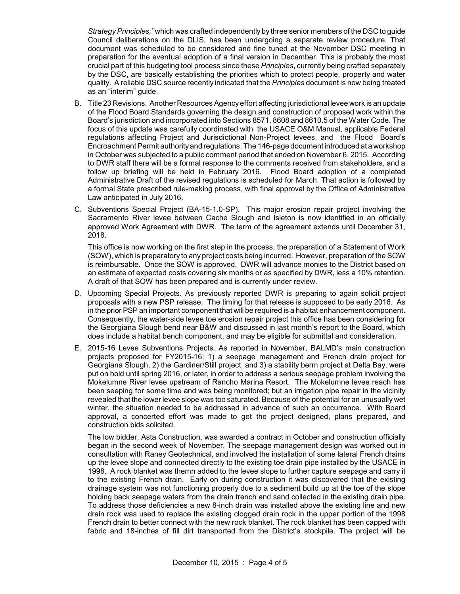*Strategy Principles,"* which was crafted independently by three senior members of the DSC to guide Council deliberations on the DLIS, has been undergoing a separate review procedure. That document was scheduled to be considered and fine tuned at the November DSC meeting in preparation for the eventual adoption of a final version in December. This is probably the most crucial part of this budgeting tool process since these *Principles*, currently being crafted separately by the DSC, are basically establishing the priorities which to protect people, property and water quality. A reliable DSC source recently indicated that the *Principles* document is now being treated as an "interim" guide.

- B. Title 23 Revisions. Another Resources Agencyeffort affecting jurisdictional levee work is an update of the Flood Board Standards governing the design and construction of proposed work within the Board's jurisdiction and incorporated into Sections 8571, 8608 and 8610.5 of the Water Code. The focus of this update was carefully coordinated with the USACE O&M Manual, applicable Federal regulations affecting Project and Jurisdictional Non-Project levees, and the Flood Board's Encroachment Permit authorityand regulations. The 146-page document introduced at a workshop in October was subjected to a public comment period that ended on November 6, 2015. According to DWR staff there will be a formal response to the comments received from stakeholders, and a follow up briefing will be held in February 2016. Flood Board adoption of a completed Administrative Draft of the revised regulations is scheduled for March. That action is followed by a formal State prescribed rule-making process, with final approval by the Office of Administrative Law anticipated in July 2016.
- C. Subventions Special Project (BA-15-1.0-SP). This major erosion repair project involving the Sacramento River levee between Cache Slough and Isleton is now identified in an officially approved Work Agreement with DWR. The term of the agreement extends until December 31, 2018.

This office is now working on the first step in the process, the preparation of a Statement of Work (SOW), which is preparatory to any project costs being incurred. However, preparation of the SOW is reimbursable. Once the SOW is approved, DWR will advance monies to the District based on an estimate of expected costs covering six months or as specified by DWR, less a 10% retention. A draft of that SOW has been prepared and is currently under review.

- D. Upcoming Special Projects. As previously reported DWR is preparing to again solicit project proposals with a new PSP release. The timing for that release is supposed to be early 2016. As in the prior PSP an important component that will be required is a habitat enhancement component. Consequently, the water-side levee toe erosion repair project this office has been considering for the Georgiana Slough bend near B&W and discussed in last month's report to the Board, which does include a habitat bench component, and may be eligible for submittal and consideration.
- E. 2015-16 Levee Subventions Projects. As reported in November, BALMD's main construction projects proposed for FY2015-16: 1) a seepage management and French drain project for Georgiana Slough, 2) the Gardiner/Still project, and 3) a stability berm project at Delta Bay, were put on hold until spring 2016, or later, in order to address a serious seepage problem involving the Mokelumne River levee upstream of Rancho Marina Resort. The Mokelumne levee reach has been seeping for some time and was being monitored; but an irrigation pipe repair in the vicinity revealed that the lower levee slope was too saturated. Because of the potential for an unusually wet winter, the situation needed to be addressed in advance of such an occurrence. With Board approval, a concerted effort was made to get the project designed, plans prepared, and construction bids solicited.

The low bidder, Asta Construction, was awarded a contract in October and construction officially began in the second week of November. The seepage management design was worked out in consultation with Raney Geotechnical, and involved the installation of some lateral French drains up the levee slope and connected directly to the existing toe drain pipe installed by the USACE in 1998. A rock blanket was themn added to the levee slope to further capture seepage and carry it to the existing French drain. Early on during construction it was discovered that the existing drainage system was not functioning properly due to a sediment build up at the toe of the slope holding back seepage waters from the drain trench and sand collected in the existing drain pipe. To address those deficiencies a new 8-inch drain was installed above the existing line and new drain rock was used to replace the existing clogged drain rock in the upper portion of the 1998 French drain to better connect with the new rock blanket. The rock blanket has been capped with fabric and 18-inches of fill dirt transported from the District's stockpile. The project will be